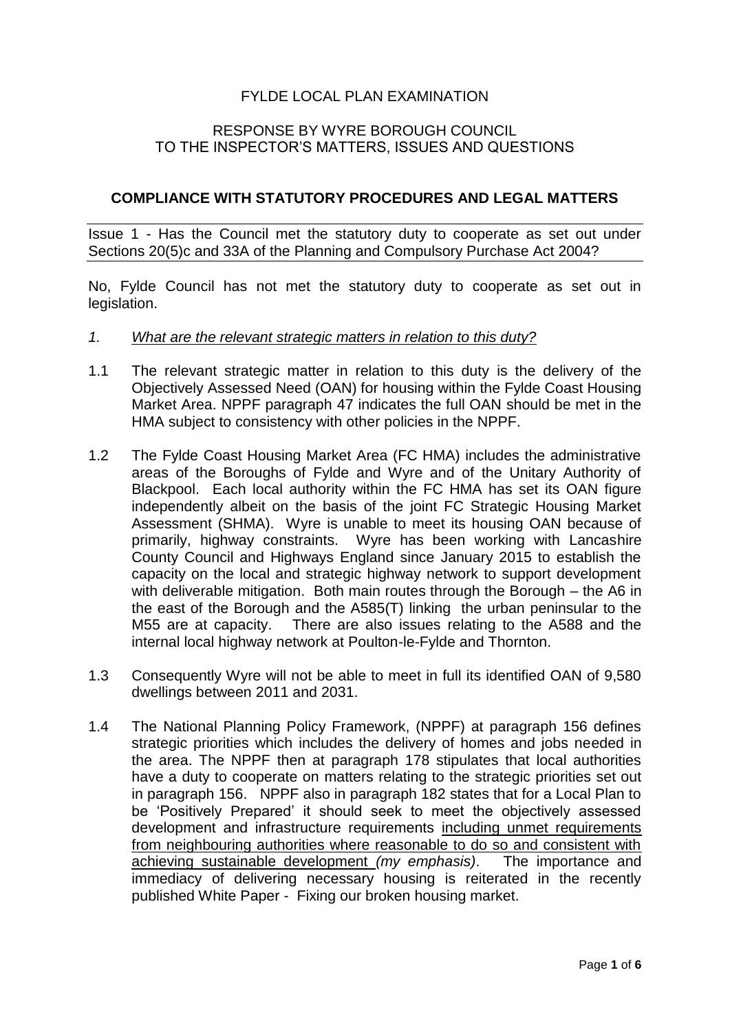## FYLDE LOCAL PLAN EXAMINATION

## RESPONSE BY WYRE BOROUGH COUNCIL TO THE INSPECTOR'S MATTERS, ISSUES AND QUESTIONS

## **COMPLIANCE WITH STATUTORY PROCEDURES AND LEGAL MATTERS**

Issue 1 - Has the Council met the statutory duty to cooperate as set out under Sections 20(5)c and 33A of the Planning and Compulsory Purchase Act 2004?

No, Fylde Council has not met the statutory duty to cooperate as set out in legislation.

- *1. What are the relevant strategic matters in relation to this duty?*
- 1.1 The relevant strategic matter in relation to this duty is the delivery of the Objectively Assessed Need (OAN) for housing within the Fylde Coast Housing Market Area. NPPF paragraph 47 indicates the full OAN should be met in the HMA subject to consistency with other policies in the NPPF.
- 1.2 The Fylde Coast Housing Market Area (FC HMA) includes the administrative areas of the Boroughs of Fylde and Wyre and of the Unitary Authority of Blackpool. Each local authority within the FC HMA has set its OAN figure independently albeit on the basis of the joint FC Strategic Housing Market Assessment (SHMA). Wyre is unable to meet its housing OAN because of primarily, highway constraints. Wyre has been working with Lancashire County Council and Highways England since January 2015 to establish the capacity on the local and strategic highway network to support development with deliverable mitigation. Both main routes through the Borough – the A6 in the east of the Borough and the A585(T) linking the urban peninsular to the M55 are at capacity. There are also issues relating to the A588 and the internal local highway network at Poulton-le-Fylde and Thornton.
- 1.3 Consequently Wyre will not be able to meet in full its identified OAN of 9,580 dwellings between 2011 and 2031.
- 1.4 The National Planning Policy Framework, (NPPF) at paragraph 156 defines strategic priorities which includes the delivery of homes and jobs needed in the area. The NPPF then at paragraph 178 stipulates that local authorities have a duty to cooperate on matters relating to the strategic priorities set out in paragraph 156. NPPF also in paragraph 182 states that for a Local Plan to be 'Positively Prepared' it should seek to meet the objectively assessed development and infrastructure requirements including unmet requirements from neighbouring authorities where reasonable to do so and consistent with achieving sustainable development *(my emphasis)*. The importance and immediacy of delivering necessary housing is reiterated in the recently published White Paper - Fixing our broken housing market.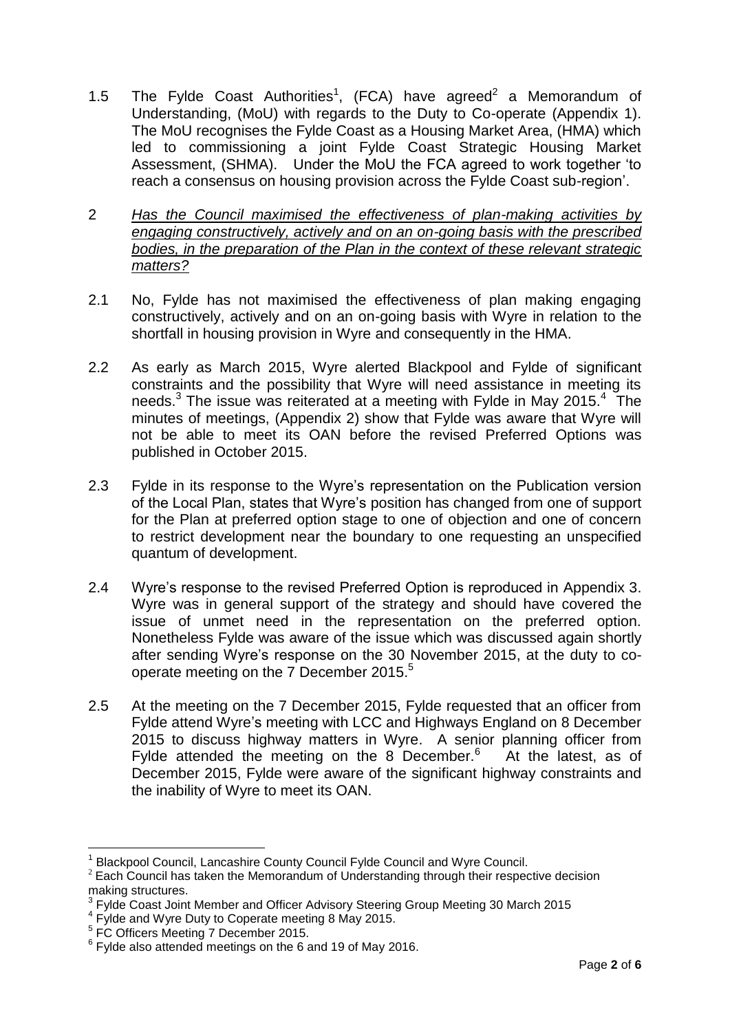- 1.5 The Fylde Coast Authorities<sup>1</sup>, (FCA) have agreed<sup>2</sup> a Memorandum of Understanding, (MoU) with regards to the Duty to Co-operate (Appendix 1). The MoU recognises the Fylde Coast as a Housing Market Area, (HMA) which led to commissioning a joint Fylde Coast Strategic Housing Market Assessment, (SHMA). Under the MoU the FCA agreed to work together 'to reach a consensus on housing provision across the Fylde Coast sub-region'.
- 2 *Has the Council maximised the effectiveness of plan-making activities by engaging constructively, actively and on an on-going basis with the prescribed bodies, in the preparation of the Plan in the context of these relevant strategic matters?*
- 2.1 No, Fylde has not maximised the effectiveness of plan making engaging constructively, actively and on an on-going basis with Wyre in relation to the shortfall in housing provision in Wyre and consequently in the HMA.
- 2.2 As early as March 2015, Wyre alerted Blackpool and Fylde of significant constraints and the possibility that Wyre will need assistance in meeting its needs.<sup>3</sup> The issue was reiterated at a meeting with Fylde in May 2015.<sup>4</sup> The minutes of meetings, (Appendix 2) show that Fylde was aware that Wyre will not be able to meet its OAN before the revised Preferred Options was published in October 2015.
- 2.3 Fylde in its response to the Wyre's representation on the Publication version of the Local Plan, states that Wyre's position has changed from one of support for the Plan at preferred option stage to one of objection and one of concern to restrict development near the boundary to one requesting an unspecified quantum of development.
- 2.4 Wyre's response to the revised Preferred Option is reproduced in Appendix 3. Wyre was in general support of the strategy and should have covered the issue of unmet need in the representation on the preferred option. Nonetheless Fylde was aware of the issue which was discussed again shortly after sending Wyre's response on the 30 November 2015, at the duty to cooperate meeting on the 7 December 2015.<sup>5</sup>
- 2.5 At the meeting on the 7 December 2015, Fylde requested that an officer from Fylde attend Wyre's meeting with LCC and Highways England on 8 December 2015 to discuss highway matters in Wyre. A senior planning officer from Fylde attended the meeting on the 8 December. $6$  At the latest, as of December 2015, Fylde were aware of the significant highway constraints and the inability of Wyre to meet its OAN.

1

<sup>1</sup> Blackpool Council, Lancashire County Council Fylde Council and Wyre Council.

 $2$  Each Council has taken the Memorandum of Understanding through their respective decision making structures.<br><sup>3</sup> Evide Coost, leint

Fylde Coast Joint Member and Officer Advisory Steering Group Meeting 30 March 2015

<sup>&</sup>lt;sup>4</sup> Fylde and Wyre Duty to Coperate meeting 8 May 2015.

<sup>5</sup> FC Officers Meeting 7 December 2015.

 $6$  Fylde also attended meetings on the 6 and 19 of May 2016.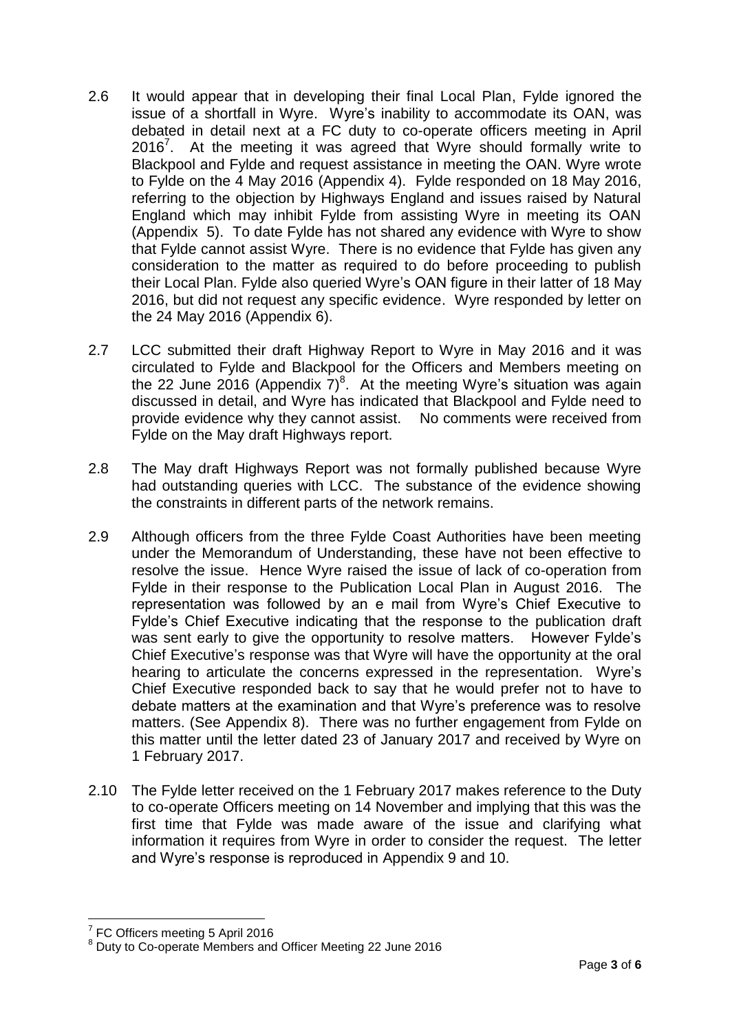- 2.6 It would appear that in developing their final Local Plan, Fylde ignored the issue of a shortfall in Wyre. Wyre's inability to accommodate its OAN, was debated in detail next at a FC duty to co-operate officers meeting in April 2016 $^7$ . At the meeting it was agreed that Wyre should formally write to Blackpool and Fylde and request assistance in meeting the OAN. Wyre wrote to Fylde on the 4 May 2016 (Appendix 4). Fylde responded on 18 May 2016, referring to the objection by Highways England and issues raised by Natural England which may inhibit Fylde from assisting Wyre in meeting its OAN (Appendix 5). To date Fylde has not shared any evidence with Wyre to show that Fylde cannot assist Wyre. There is no evidence that Fylde has given any consideration to the matter as required to do before proceeding to publish their Local Plan. Fylde also queried Wyre's OAN figure in their latter of 18 May 2016, but did not request any specific evidence. Wyre responded by letter on the 24 May 2016 (Appendix 6).
- 2.7 LCC submitted their draft Highway Report to Wyre in May 2016 and it was circulated to Fylde and Blackpool for the Officers and Members meeting on the 22 June 2016 (Appendix  $7)^8$ . At the meeting Wyre's situation was again discussed in detail, and Wyre has indicated that Blackpool and Fylde need to provide evidence why they cannot assist. No comments were received from Fylde on the May draft Highways report.
- 2.8 The May draft Highways Report was not formally published because Wyre had outstanding queries with LCC. The substance of the evidence showing the constraints in different parts of the network remains.
- 2.9 Although officers from the three Fylde Coast Authorities have been meeting under the Memorandum of Understanding, these have not been effective to resolve the issue. Hence Wyre raised the issue of lack of co-operation from Fylde in their response to the Publication Local Plan in August 2016. The representation was followed by an e mail from Wyre's Chief Executive to Fylde's Chief Executive indicating that the response to the publication draft was sent early to give the opportunity to resolve matters. However Fylde's Chief Executive's response was that Wyre will have the opportunity at the oral hearing to articulate the concerns expressed in the representation. Wyre's Chief Executive responded back to say that he would prefer not to have to debate matters at the examination and that Wyre's preference was to resolve matters. (See Appendix 8). There was no further engagement from Fylde on this matter until the letter dated 23 of January 2017 and received by Wyre on 1 February 2017.
- 2.10 The Fylde letter received on the 1 February 2017 makes reference to the Duty to co-operate Officers meeting on 14 November and implying that this was the first time that Fylde was made aware of the issue and clarifying what information it requires from Wyre in order to consider the request. The letter and Wyre's response is reproduced in Appendix 9 and 10.

<sup>&</sup>lt;u>.</u> 7 FC Officers meeting 5 April 2016

<sup>8</sup> Duty to Co-operate Members and Officer Meeting 22 June 2016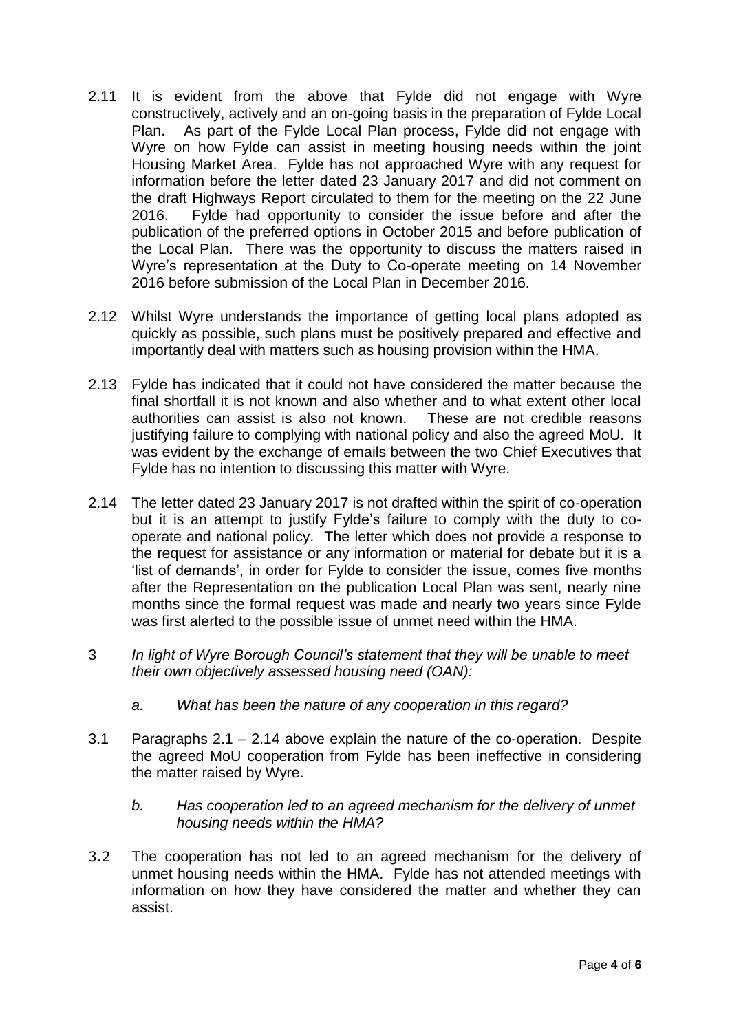- 2.11 It is evident from the above that Fylde did not engage with Wyre constructively, actively and an on-going basis in the preparation of Fylde Local Plan. As part of the Fylde Local Plan process, Fylde did not engage with Wyre on how Fylde can assist in meeting housing needs within the joint Housing Market Area. Fylde has not approached Wyre with any request for information before the letter dated 23 January 2017 and did not comment on the draft Highways Report circulated to them for the meeting on the 22 June 2016. Fylde had opportunity to consider the issue before and after the publication of the preferred options in October 2015 and before publication of the Local Plan. There was the opportunity to discuss the matters raised in Wyre's representation at the Duty to Co-operate meeting on 14 November 2016 before submission of the Local Plan in December 2016.
- 2.12 Whilst Wyre understands the importance of getting local plans adopted as quickly as possible, such plans must be positively prepared and effective and importantly deal with matters such as housing provision within the HMA.
- 2.13 Fylde has indicated that it could not have considered the matter because the final shortfall it is not known and also whether and to what extent other local authorities can assist is also not known. These are not credible reasons justifying failure to complying with national policy and also the agreed MoU. It was evident by the exchange of emails between the two Chief Executives that Fylde has no intention to discussing this matter with Wyre.
- 2.14 The letter dated 23 January 2017 is not drafted within the spirit of co-operation but it is an attempt to justify Fylde's failure to comply with the duty to cooperate and national policy. The letter which does not provide a response to the request for assistance or any information or material for debate but it is a 'list of demands', in order for Fylde to consider the issue, comes five months after the Representation on the publication Local Plan was sent, nearly nine months since the formal request was made and nearly two years since Fylde was first alerted to the possible issue of unmet need within the HMA.
- 3 *In light of Wyre Borough Council's statement that they will be unable to meet their own objectively assessed housing need (OAN):*
	- *a. What has been the nature of any cooperation in this regard?*
- 3.1 Paragraphs 2.1 2.14 above explain the nature of the co-operation. Despite the agreed MoU cooperation from Fylde has been ineffective in considering the matter raised by Wyre.
	- *b. Has cooperation led to an agreed mechanism for the delivery of unmet housing needs within the HMA?*
- 3.2 The cooperation has not led to an agreed mechanism for the delivery of unmet housing needs within the HMA. Fylde has not attended meetings with information on how they have considered the matter and whether they can assist.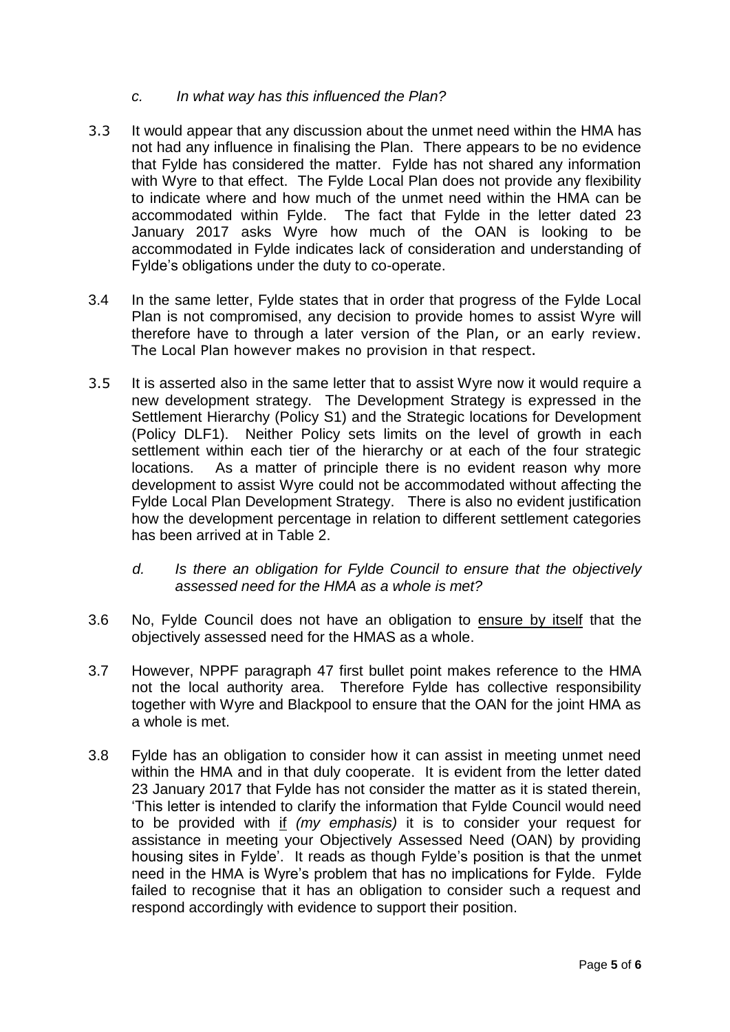## *c. In what way has this influenced the Plan?*

- 3.3 It would appear that any discussion about the unmet need within the HMA has not had any influence in finalising the Plan. There appears to be no evidence that Fylde has considered the matter. Fylde has not shared any information with Wyre to that effect. The Fylde Local Plan does not provide any flexibility to indicate where and how much of the unmet need within the HMA can be accommodated within Fylde. The fact that Fylde in the letter dated 23 January 2017 asks Wyre how much of the OAN is looking to be accommodated in Fylde indicates lack of consideration and understanding of Fylde's obligations under the duty to co-operate.
- 3.4 In the same letter, Fylde states that in order that progress of the Fylde Local Plan is not compromised, any decision to provide homes to assist Wyre will therefore have to through a later version of the Plan, or an early review. The Local Plan however makes no provision in that respect.
- 3.5 It is asserted also in the same letter that to assist Wyre now it would require a new development strategy. The Development Strategy is expressed in the Settlement Hierarchy (Policy S1) and the Strategic locations for Development (Policy DLF1). Neither Policy sets limits on the level of growth in each settlement within each tier of the hierarchy or at each of the four strategic locations. As a matter of principle there is no evident reason why more development to assist Wyre could not be accommodated without affecting the Fylde Local Plan Development Strategy. There is also no evident justification how the development percentage in relation to different settlement categories has been arrived at in Table 2.
	- *d. Is there an obligation for Fylde Council to ensure that the objectively assessed need for the HMA as a whole is met?*
- 3.6 No, Fylde Council does not have an obligation to ensure by itself that the objectively assessed need for the HMAS as a whole.
- 3.7 However, NPPF paragraph 47 first bullet point makes reference to the HMA not the local authority area. Therefore Fylde has collective responsibility together with Wyre and Blackpool to ensure that the OAN for the joint HMA as a whole is met.
- 3.8 Fylde has an obligation to consider how it can assist in meeting unmet need within the HMA and in that duly cooperate. It is evident from the letter dated 23 January 2017 that Fylde has not consider the matter as it is stated therein, 'This letter is intended to clarify the information that Fylde Council would need to be provided with if *(my emphasis)* it is to consider your request for assistance in meeting your Objectively Assessed Need (OAN) by providing housing sites in Fylde'. It reads as though Fylde's position is that the unmet need in the HMA is Wyre's problem that has no implications for Fylde. Fylde failed to recognise that it has an obligation to consider such a request and respond accordingly with evidence to support their position.